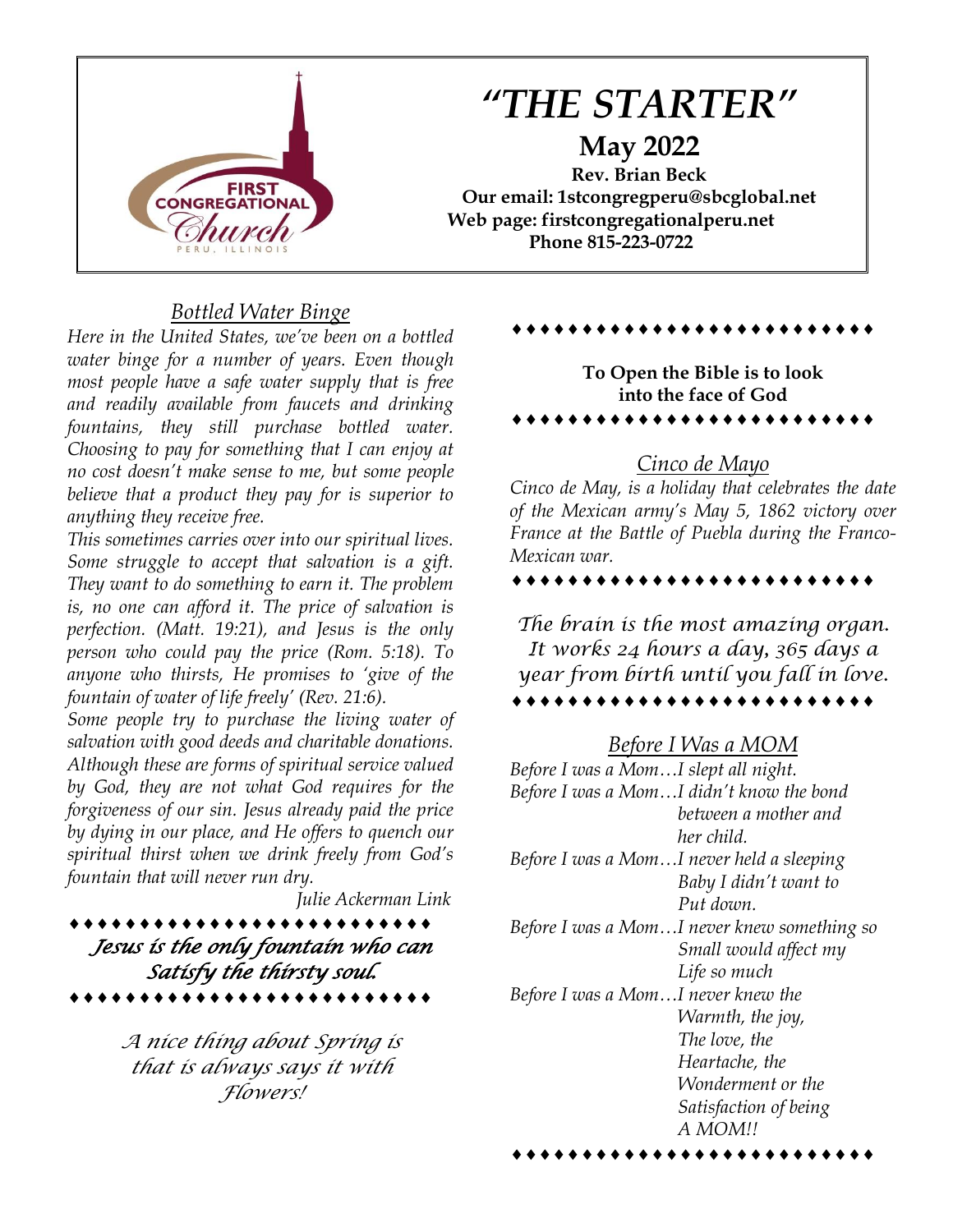

# *"THE STARTER"* **May 2022 Rev. Brian Beck Our email: 1stcongregperu@sbcglobal.net Web page: firstcongregationalperu.net**

**Phone 815-223-0722**

# *Bottled Water Binge*

*Here in the United States, we've been on a bottled water binge for a number of years. Even though most people have a safe water supply that is free and readily available from faucets and drinking fountains, they still purchase bottled water. Choosing to pay for something that I can enjoy at no cost doesn't make sense to me, but some people believe that a product they pay for is superior to anything they receive free.*

*This sometimes carries over into our spiritual lives. Some struggle to accept that salvation is a gift. They want to do something to earn it. The problem is, no one can afford it. The price of salvation is perfection. (Matt. 19:21), and Jesus is the only person who could pay the price (Rom. 5:18). To anyone who thirsts, He promises to 'give of the fountain of water of life freely' (Rev. 21:6).*

*Some people try to purchase the living water of salvation with good deeds and charitable donations. Although these are forms of spiritual service valued by God, they are not what God requires for the forgiveness of our sin. Jesus already paid the price by dying in our place, and He offers to quench our spiritual thirst when we drink freely from God's fountain that will never run dry.*

 *Julie Ackerman Link*

\*\*\*\*\*\*\*\*\*\*\*\*\*\*\*\*\*\*\*\*\*\*\*\*\* *Jesus is the only fountain who can Satisfy the thirsty soul.*  

> *A nice thing about Spring is that is always says it with Flowers!*

#### . . . . . . . . . . . . . . . . . . .

### **To Open the Bible is to look into the face of God** \* \* \* \* \* \* \* \* \* \* \* \* \* \* \* \* \* \* \*

### *Cinco de Mayo*

*Cinco de May, is a holiday that celebrates the date of the Mexican army's May 5, 1862 victory over France at the Battle of Puebla during the Franco-Mexican war.*

\*\*\*\*\*\*\*\*\*\*\*\*\*\*\*\*\*\*\*\*\*\*\*\*\*\*

*The brain is the most amazing organ. It works 24 hours a day, 365 days a year from birth until you fall in love.* ...........................

### *Before I Was a MOM*

*Before I was a Mom…I slept all night. Before I was a Mom…I didn't know the bond between a mother and her child. Before I was a Mom…I never held a sleeping Baby I didn't want to Put down. Before I was a Mom…I never knew something so Small would affect my Life so much Before I was a Mom…I never knew the Warmth, the joy, The love, the Heartache, the Wonderment or the Satisfaction of being A MOM!!*

 $+ + + + + + + + + +$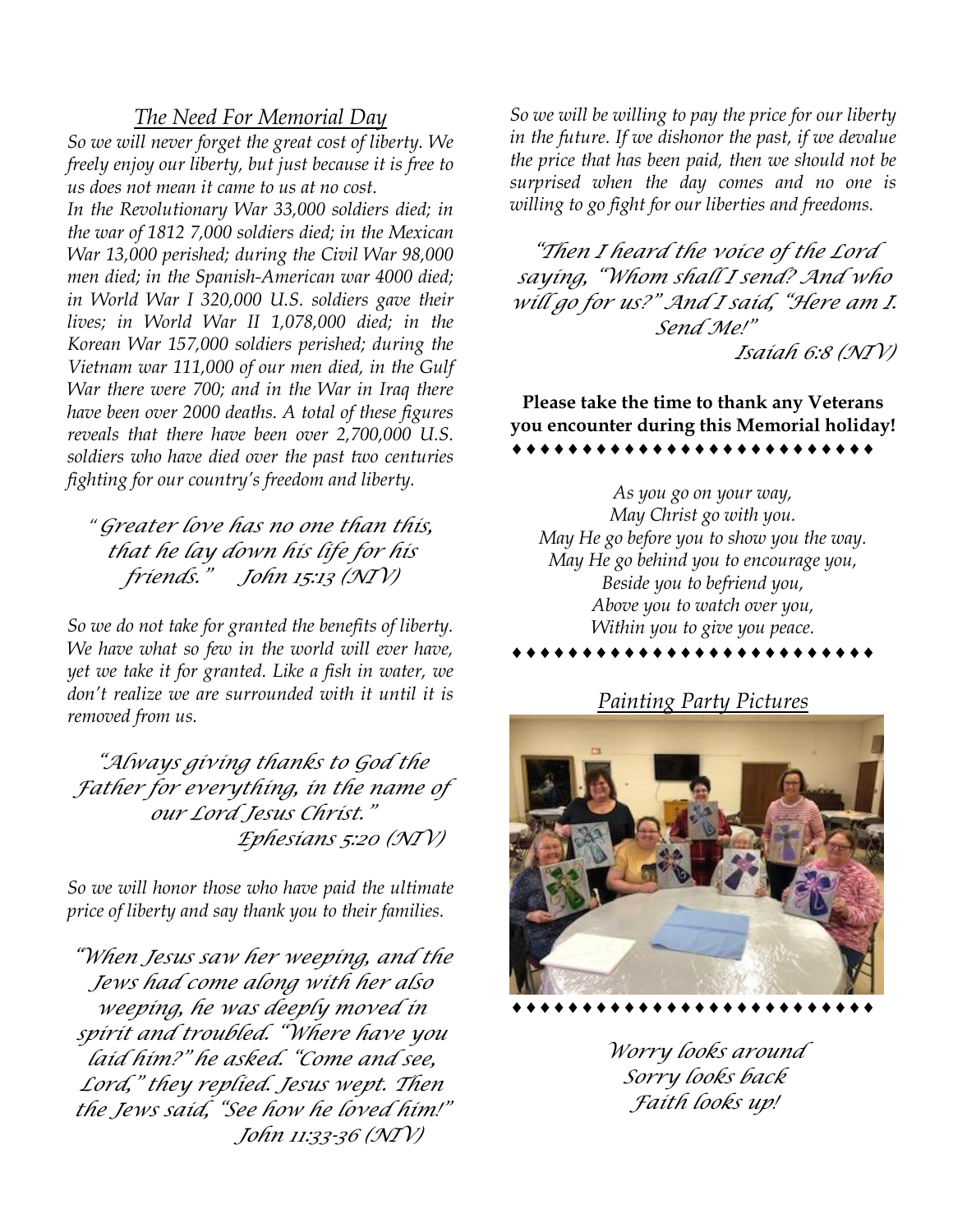### *The Need For Memorial Day*

*So we will never forget the great cost of liberty. We freely enjoy our liberty, but just because it is free to us does not mean it came to us at no cost. In the Revolutionary War 33,000 soldiers died; in the war of 1812 7,000 soldiers died; in the Mexican War 13,000 perished; during the Civil War 98,000 men died; in the Spanish-American war 4000 died; in World War I 320,000 U.S. soldiers gave their lives; in World War II 1,078,000 died; in the Korean War 157,000 soldiers perished; during the Vietnam war 111,000 of our men died, in the Gulf War there were 700; and in the War in Iraq there have been over 2000 deaths. A total of these figures reveals that there have been over 2,700,000 U.S. soldiers who have died over the past two centuries fighting for our country's freedom and liberty.*

# *"Greater love has no one than this, that he lay down his life for his friends." John 15:13 (NIV)*

*So we do not take for granted the benefits of liberty. We have what so few in the world will ever have, yet we take it for granted. Like a fish in water, we don't realize we are surrounded with it until it is removed from us.*

*"Always giving thanks to God the Father for everything, in the name of our Lord Jesus Christ." Ephesians 5:20 (NIV)*

*So we will honor those who have paid the ultimate price of liberty and say thank you to their families.*

*"When Jesus saw her weeping, and the Jews had come along with her also weeping, he was deeply moved in spirit and troubled. "Where have you laid him?" he asked. "Come and see, Lord," they replied. Jesus wept. Then the Jews said, "See how he loved him!" John 11:33-36 (NIV)*

*So we will be willing to pay the price for our liberty in the future. If we dishonor the past, if we devalue the price that has been paid, then we should not be surprised when the day comes and no one is willing to go fight for our liberties and freedoms.*

*"Then I heard the voice of the Lord saying, "Whom shall I send? And who will go for us?" And I said, "Here am I. Send Me!" Isaiah 6:8 (NIV)*

**Please take the time to thank any Veterans you encounter during this Memorial holiday!** \*\*\*\*\*\*\*\*\*\*\*\*\*\*\*\*\*\*\*\*\*\*\*\*\*

*As you go on your way, May Christ go with you. May He go before you to show you the way. May He go behind you to encourage you, Beside you to befriend you, Above you to watch over you, Within you to give you peace.*

### *Painting Party Pictures*

\*\*\*\*\*\*\*\*\*\*\*\*\*\*\*\*\*\*\*\*\*\*\*\*\*



*Worry looks around Sorry looks back Faith looks up!*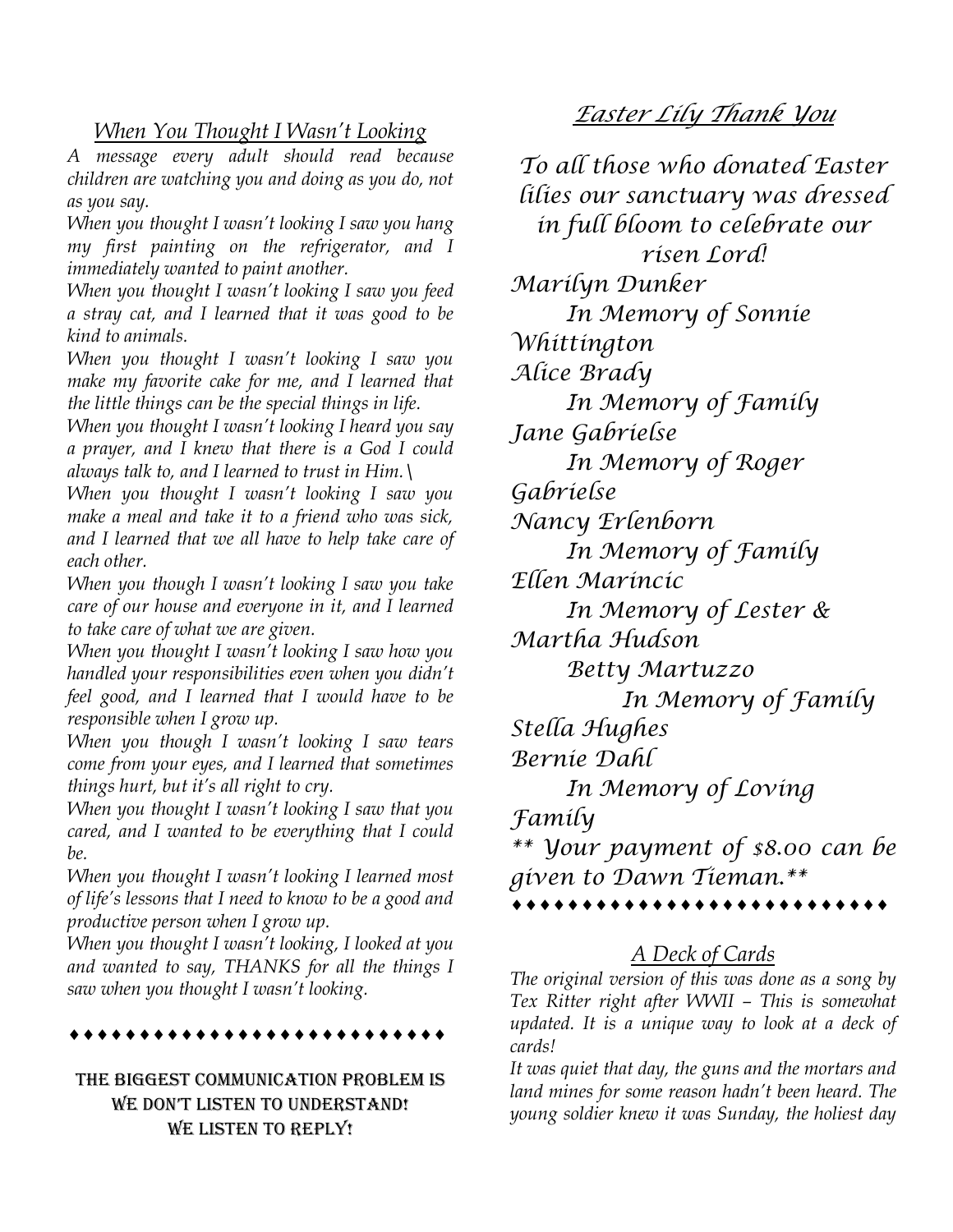*When You Thought I Wasn't Looking*

*A message every adult should read because children are watching you and doing as you do, not as you say.*

*When you thought I wasn't looking I saw you hang my first painting on the refrigerator, and I immediately wanted to paint another.*

*When you thought I wasn't looking I saw you feed a stray cat, and I learned that it was good to be kind to animals.*

*When you thought I wasn't looking I saw you make my favorite cake for me, and I learned that the little things can be the special things in life.*

*When you thought I wasn't looking I heard you say a prayer, and I knew that there is a God I could always talk to, and I learned to trust in Him.\*

*When you thought I wasn't looking I saw you make a meal and take it to a friend who was sick, and I learned that we all have to help take care of each other.*

*When you though I wasn't looking I saw you take care of our house and everyone in it, and I learned to take care of what we are given.*

*When you thought I wasn't looking I saw how you handled your responsibilities even when you didn't feel good, and I learned that I would have to be responsible when I grow up.*

*When you though I wasn't looking I saw tears come from your eyes, and I learned that sometimes things hurt, but it's all right to cry.*

*When you thought I wasn't looking I saw that you cared, and I wanted to be everything that I could be.*

*When you thought I wasn't looking I learned most of life's lessons that I need to know to be a good and productive person when I grow up.*

*When you thought I wasn't looking, I looked at you and wanted to say, THANKS for all the things I saw when you thought I wasn't looking.*

The biggest Communication problem is WE DON'T LISTEN TO UNDERSTAND! WE LISTEN TO REPLY!

# *Easter Lily Thank You*

*To all those who donated Easter lilies our sanctuary was dressed in full bloom to celebrate our risen Lord! Marilyn Dunker In Memory of Sonnie Whittington Alice Brady In Memory of Family Jane Gabrielse In Memory of Roger Gabrielse Nancy Erlenborn In Memory of Family Ellen Marincic In Memory of Lester & Martha Hudson Betty Martuzzo In Memory of Family Stella Hughes Bernie Dahl In Memory of Loving Family \*\* Your payment of \$8.00 can be given to Dawn Tieman.\*\** 

# *A Deck of Cards*

*The original version of this was done as a song by Tex Ritter right after WWII – This is somewhat updated. It is a unique way to look at a deck of cards!*

*It was quiet that day, the guns and the mortars and land mines for some reason hadn't been heard. The young soldier knew it was Sunday, the holiest day*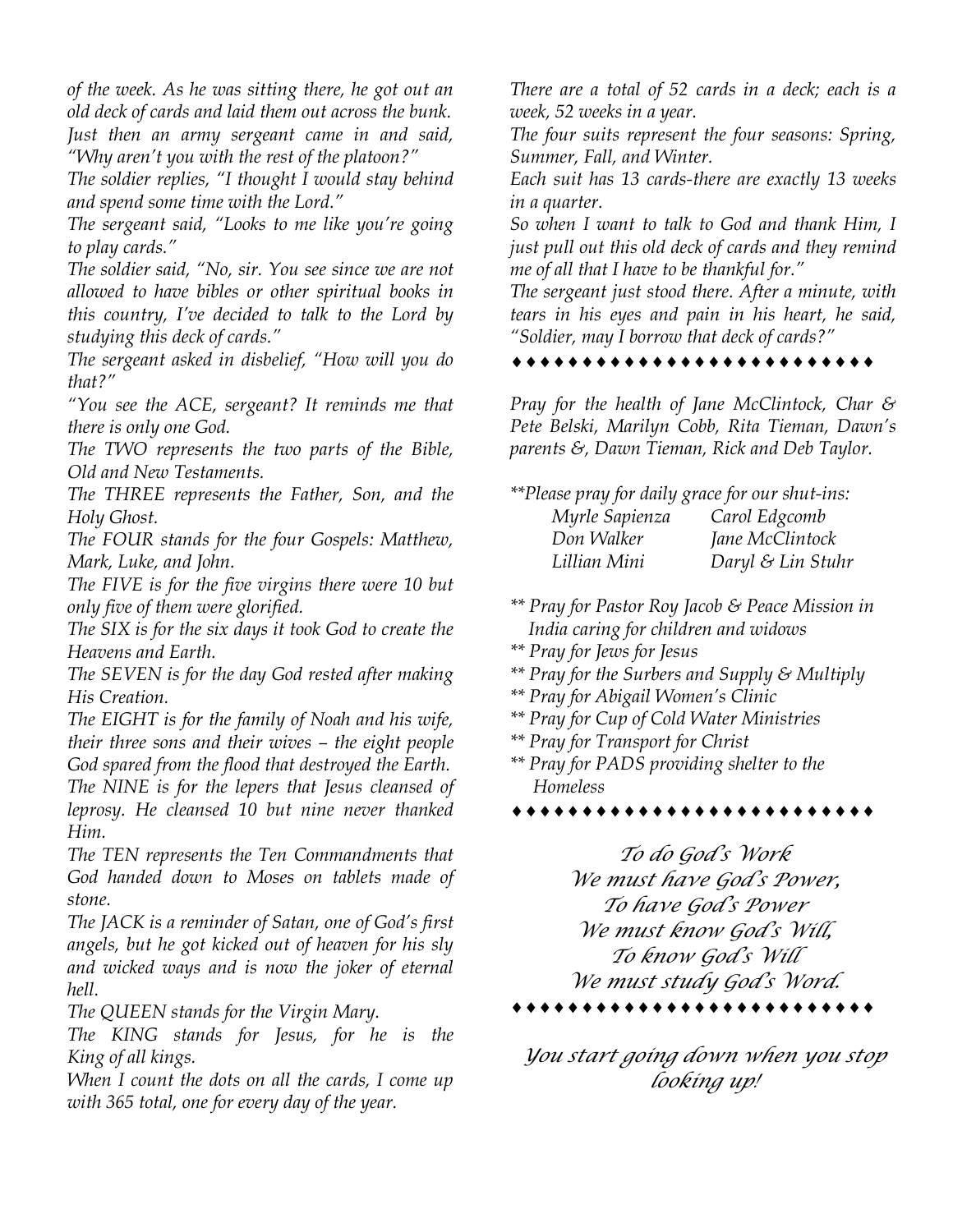*of the week. As he was sitting there, he got out an old deck of cards and laid them out across the bunk. Just then an army sergeant came in and said,* 

*"Why aren't you with the rest of the platoon?"*

*The soldier replies, "I thought I would stay behind and spend some time with the Lord."*

*The sergeant said, "Looks to me like you're going to play cards."*

*The soldier said, "No, sir. You see since we are not allowed to have bibles or other spiritual books in this country, I've decided to talk to the Lord by studying this deck of cards."*

*The sergeant asked in disbelief, "How will you do that?"*

*"You see the ACE, sergeant? It reminds me that there is only one God.*

*The TWO represents the two parts of the Bible, Old and New Testaments.*

*The THREE represents the Father, Son, and the Holy Ghost.*

*The FOUR stands for the four Gospels: Matthew, Mark, Luke, and John.*

*The FIVE is for the five virgins there were 10 but only five of them were glorified.*

*The SIX is for the six days it took God to create the Heavens and Earth.*

*The SEVEN is for the day God rested after making His Creation.*

*The EIGHT is for the family of Noah and his wife, their three sons and their wives – the eight people God spared from the flood that destroyed the Earth. The NINE is for the lepers that Jesus cleansed of leprosy. He cleansed 10 but nine never thanked Him.*

*The TEN represents the Ten Commandments that God handed down to Moses on tablets made of stone.*

*The JACK is a reminder of Satan, one of God's first angels, but he got kicked out of heaven for his sly and wicked ways and is now the joker of eternal hell.*

*The QUEEN stands for the Virgin Mary.*

*The KING stands for Jesus, for he is the King of all kings.*

*When I count the dots on all the cards, I come up with 365 total, one for every day of the year.*

*There are a total of 52 cards in a deck; each is a week, 52 weeks in a year.*

*The four suits represent the four seasons: Spring, Summer, Fall, and Winter.*

*Each suit has 13 cards-there are exactly 13 weeks in a quarter.*

*So when I want to talk to God and thank Him, I just pull out this old deck of cards and they remind me of all that I have to be thankful for."*

*The sergeant just stood there. After a minute, with tears in his eyes and pain in his heart, he said, "Soldier, may I borrow that deck of cards?"*

\*\*\*\*\*\*\*\*\*\*\*\*\*\*\*\*\*\*\*\*\*\*\*\*\*\*

*Pray for the health of Jane McClintock, Char & Pete Belski, Marilyn Cobb, Rita Tieman, Dawn's parents &, Dawn Tieman, Rick and Deb Taylor.*

| **Please pray for daily grace for our shut-ins: |                   |
|-------------------------------------------------|-------------------|
| Myrle Sapienza                                  | Carol Edgcomb     |
| Don Walker                                      | Jane McClintock   |
| Lillian Mini                                    | Daryl & Lin Stuhr |

- *\*\* Pray for Pastor Roy Jacob & Peace Mission in India caring for children and widows*
- *\*\* Pray for Jews for Jesus*
- *\*\* Pray for the Surbers and Supply & Multiply*
- *\*\* Pray for Abigail Women's Clinic*
- *\*\* Pray for Cup of Cold Water Ministries*
- *\*\* Pray for Transport for Christ*
- *\*\* Pray for PADS providing shelter to the Homeless*

*To do God's Work We must have God's Power, To have God's Power We must know God's Will, To know God's Will We must study God's Word.* **\*\*\*\*\*\*\*\*\*\*\*** 

*You start going down when you stop looking up!*